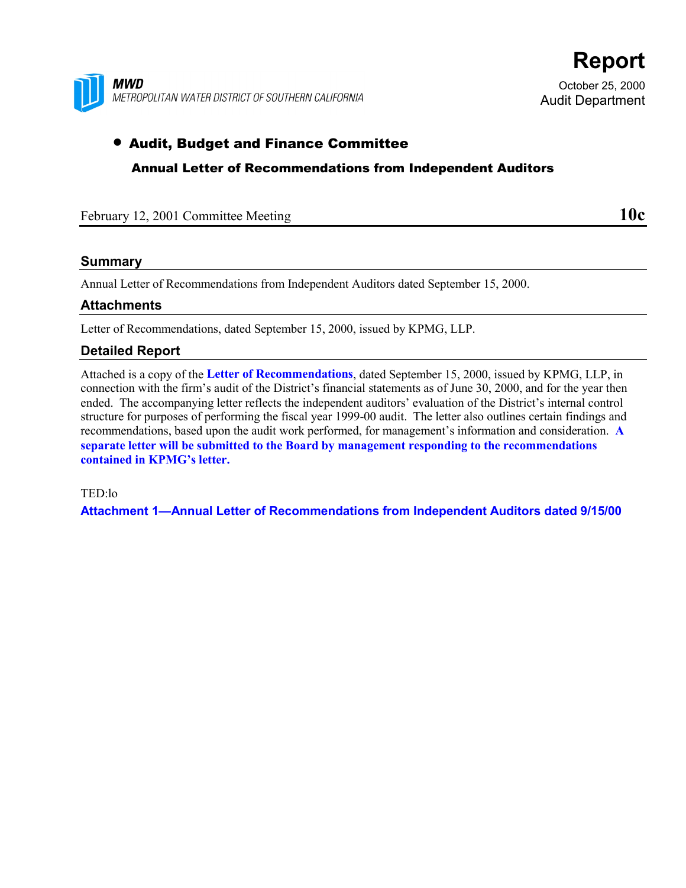

October 25, 2000 Audit Department

**Report**

## • Audit, Budget and Finance Committee

Annual Letter of Recommendations from Independent Auditors

| February 12, 2001 Committee Meeting | 10c |
|-------------------------------------|-----|
|                                     |     |

## **Summary**

Annual Letter of Recommendations from Independent Auditors dated September 15, 2000.

## **Attachments**

Letter of Recommendations, dated September 15, 2000, issued by KPMG, LLP.

## **Detailed Report**

Attached is a copy of the **Letter of Recommendations**, dated September 15, 2000, issued by KPMG, LLP, in connection with the firm's audit of the District's financial statements as of June 30, 2000, and for the year then ended. The accompanying letter reflects the independent auditors' evaluation of the District's internal control structure for purposes of performing the fiscal year 1999-00 audit. The letter also outlines certain findings and recommendations, based upon the audit work performed, for management's information and consideration. **A separate letter will be submitted to the Board by management responding to the recommendations contained in KPMG's letter.**

TED:lo

**Attachment 1—Annual Letter of Recommendations from Independent Auditors dated 9/15/00**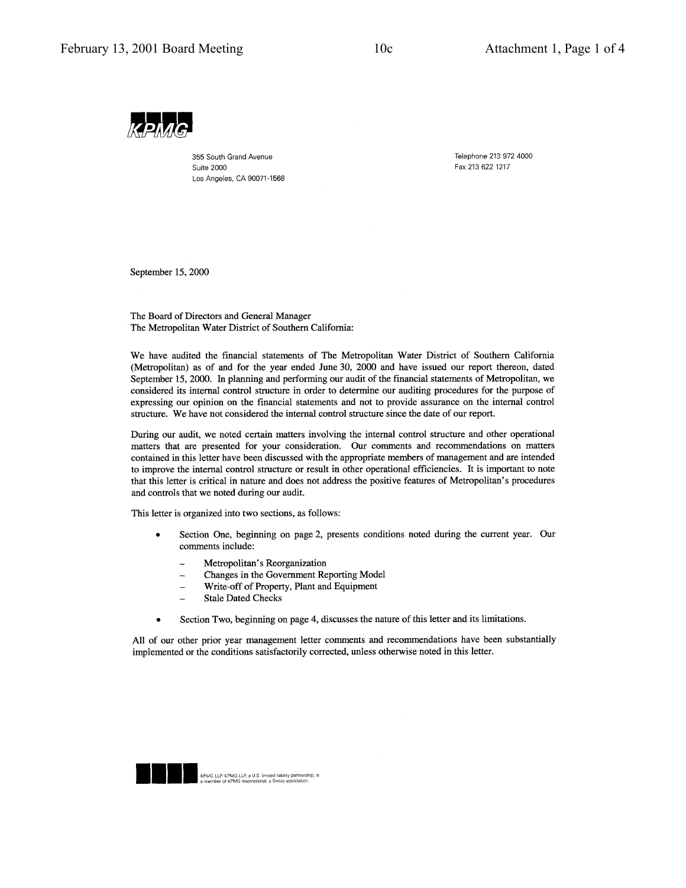

355 South Grand Avenue **Suite 2000** Los Angeles, CA 90071-1568 Telephone 213 972 4000 Fax 213 622 1217

September 15, 2000

The Board of Directors and General Manager The Metropolitan Water District of Southern California:

We have audited the financial statements of The Metropolitan Water District of Southern California (Metropolitan) as of and for the year ended June 30, 2000 and have issued our report thereon, dated September 15, 2000. In planning and performing our audit of the financial statements of Metropolitan, we considered its internal control structure in order to determine our auditing procedures for the purpose of expressing our opinion on the financial statements and not to provide assurance on the internal control structure. We have not considered the internal control structure since the date of our report.

During our audit, we noted certain matters involving the internal control structure and other operational matters that are presented for your consideration. Our comments and recommendations on matters contained in this letter have been discussed with the appropriate members of management and are intended to improve the internal control structure or result in other operational efficiencies. It is important to note that this letter is critical in nature and does not address the positive features of Metropolitan's procedures and controls that we noted during our audit.

This letter is organized into two sections, as follows:

- Section One, beginning on page 2, presents conditions noted during the current year. Our comments include:
	- Metropolitan's Reorganization
	- Changes in the Government Reporting Model  $\overline{\phantom{a}}$
	- Write-off of Property, Plant and Equipment
	- **Stale Dated Checks**
- Section Two, beginning on page 4, discusses the nature of this letter and its limitations.

All of our other prior year management letter comments and recommendations have been substantially implemented or the conditions satisfactorily corrected, unless otherwise noted in this letter.

KPMG LLP. KPMG LLP, a U.S. limited liability partnership, is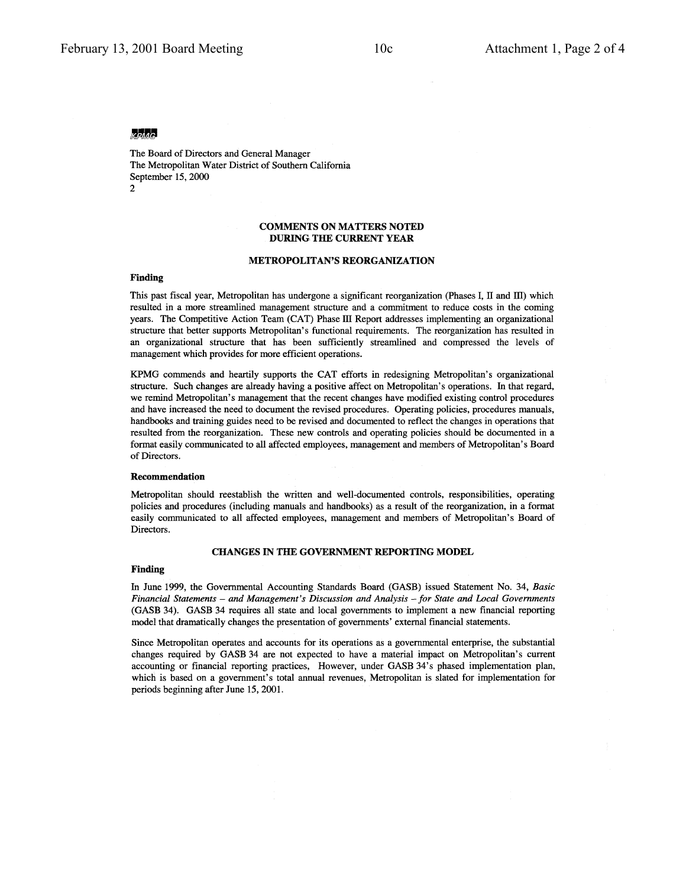### $k$ *phac*

The Board of Directors and General Manager The Metropolitan Water District of Southern California September 15, 2000  $\mathcal{D}$ 

### **COMMENTS ON MATTERS NOTED DURING THE CURRENT YEAR**

### **METROPOLITAN'S REORGANIZATION**

### **Finding**

This past fiscal year, Metropolitan has undergone a significant reorganization (Phases I, II and III) which resulted in a more streamlined management structure and a commitment to reduce costs in the coming years. The Competitive Action Team (CAT) Phase III Report addresses implementing an organizational structure that better supports Metropolitan's functional requirements. The reorganization has resulted in an organizational structure that has been sufficiently streamlined and compressed the levels of management which provides for more efficient operations.

KPMG commends and heartily supports the CAT efforts in redesigning Metropolitan's organizational structure. Such changes are already having a positive affect on Metropolitan's operations. In that regard, we remind Metropolitan's management that the recent changes have modified existing control procedures and have increased the need to document the revised procedures. Operating policies, procedures manuals, handbooks and training guides need to be revised and documented to reflect the changes in operations that resulted from the reorganization. These new controls and operating policies should be documented in a format easily communicated to all affected employees, management and members of Metropolitan's Board of Directors.

### Recommendation

Metropolitan should reestablish the written and well-documented controls, responsibilities, operating policies and procedures (including manuals and handbooks) as a result of the reorganization, in a format easily communicated to all affected employees, management and members of Metropolitan's Board of Directors.

### CHANGES IN THE GOVERNMENT REPORTING MODEL

#### **Finding**

In June 1999, the Governmental Accounting Standards Board (GASB) issued Statement No. 34, Basic Financial Statements - and Management's Discussion and Analysis - for State and Local Governments (GASB 34). GASB 34 requires all state and local governments to implement a new financial reporting model that dramatically changes the presentation of governments' external financial statements.

Since Metropolitan operates and accounts for its operations as a governmental enterprise, the substantial changes required by GASB 34 are not expected to have a material impact on Metropolitan's current accounting or financial reporting practices, However, under GASB 34's phased implementation plan, which is based on a government's total annual revenues, Metropolitan is slated for implementation for periods beginning after June 15, 2001.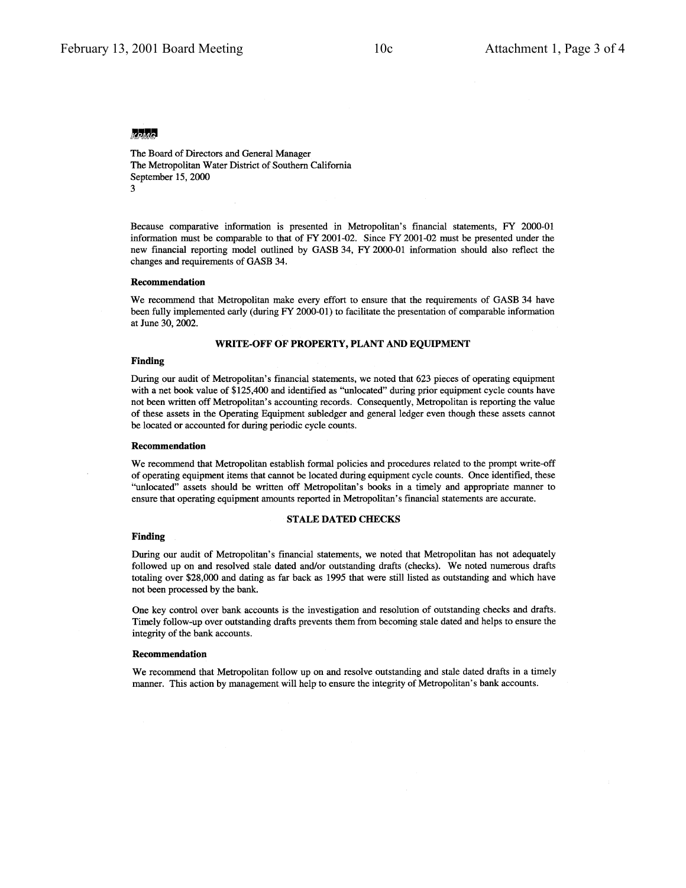### KPMG.

The Board of Directors and General Manager The Metropolitan Water District of Southern California September 15, 2000 3

Because comparative information is presented in Metropolitan's financial statements, FY 2000-01 information must be comparable to that of FY 2001-02. Since FY 2001-02 must be presented under the new financial reporting model outlined by GASB 34, FY 2000-01 information should also reflect the changes and requirements of GASB 34.

### **Recommendation**

We recommend that Metropolitan make every effort to ensure that the requirements of GASB 34 have been fully implemented early (during FY 2000-01) to facilitate the presentation of comparable information at June 30, 2002.

### WRITE-OFF OF PROPERTY, PLANT AND EQUIPMENT

### **Finding**

During our audit of Metropolitan's financial statements, we noted that 623 pieces of operating equipment with a net book value of \$125,400 and identified as "unlocated" during prior equipment cycle counts have not been written off Metropolitan's accounting records. Consequently, Metropolitan is reporting the value of these assets in the Operating Equipment subledger and general ledger even though these assets cannot be located or accounted for during periodic cycle counts.

### Recommendation

We recommend that Metropolitan establish formal policies and procedures related to the prompt write-off of operating equipment items that cannot be located during equipment cycle counts. Once identified, these "unlocated" assets should be written off Metropolitan's books in a timely and appropriate manner to ensure that operating equipment amounts reported in Metropolitan's financial statements are accurate.

### **STALE DATED CHECKS**

### **Finding**

During our audit of Metropolitan's financial statements, we noted that Metropolitan has not adequately followed up on and resolved stale dated and/or outstanding drafts (checks). We noted numerous drafts totaling over \$28,000 and dating as far back as 1995 that were still listed as outstanding and which have not been processed by the bank.

One key control over bank accounts is the investigation and resolution of outstanding checks and drafts. Timely follow-up over outstanding drafts prevents them from becoming stale dated and helps to ensure the integrity of the bank accounts.

### Recommendation

We recommend that Metropolitan follow up on and resolve outstanding and stale dated drafts in a timely manner. This action by management will help to ensure the integrity of Metropolitan's bank accounts.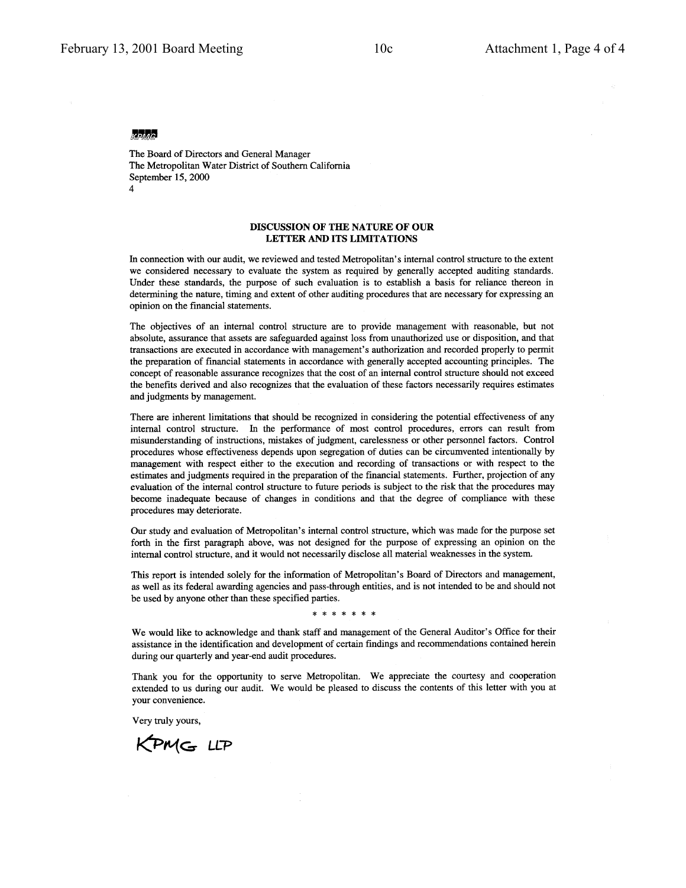### **KPMG**

The Board of Directors and General Manager The Metropolitan Water District of Southern California September 15, 2000  $\overline{4}$ 

### DISCUSSION OF THE NATURE OF OUR LETTER AND ITS LIMITATIONS

In connection with our audit, we reviewed and tested Metropolitan's internal control structure to the extent we considered necessary to evaluate the system as required by generally accepted auditing standards. Under these standards, the purpose of such evaluation is to establish a basis for reliance thereon in determining the nature, timing and extent of other auditing procedures that are necessary for expressing an opinion on the financial statements.

The objectives of an internal control structure are to provide management with reasonable, but not absolute, assurance that assets are safeguarded against loss from unauthorized use or disposition, and that transactions are executed in accordance with management's authorization and recorded properly to permit the preparation of financial statements in accordance with generally accepted accounting principles. The concept of reasonable assurance recognizes that the cost of an internal control structure should not exceed the benefits derived and also recognizes that the evaluation of these factors necessarily requires estimates and judgments by management.

There are inherent limitations that should be recognized in considering the potential effectiveness of any internal control structure. In the performance of most control procedures, errors can result from misunderstanding of instructions, mistakes of judgment, carelessness or other personnel factors. Control procedures whose effectiveness depends upon segregation of duties can be circumvented intentionally by management with respect either to the execution and recording of transactions or with respect to the estimates and judgments required in the preparation of the financial statements. Further, projection of any evaluation of the internal control structure to future periods is subject to the risk that the procedures may become inadequate because of changes in conditions and that the degree of compliance with these procedures may deteriorate.

Our study and evaluation of Metropolitan's internal control structure, which was made for the purpose set forth in the first paragraph above, was not designed for the purpose of expressing an opinion on the internal control structure, and it would not necessarily disclose all material weaknesses in the system.

This report is intended solely for the information of Metropolitan's Board of Directors and management, as well as its federal awarding agencies and pass-through entities, and is not intended to be and should not be used by anyone other than these specified parties.

\* \* \* \* \* \* \*

We would like to acknowledge and thank staff and management of the General Auditor's Office for their assistance in the identification and development of certain findings and recommendations contained herein during our quarterly and year-end audit procedures.

Thank you for the opportunity to serve Metropolitan. We appreciate the courtesy and cooperation extended to us during our audit. We would be pleased to discuss the contents of this letter with you at your convenience.

Very truly yours,

KPMG LLP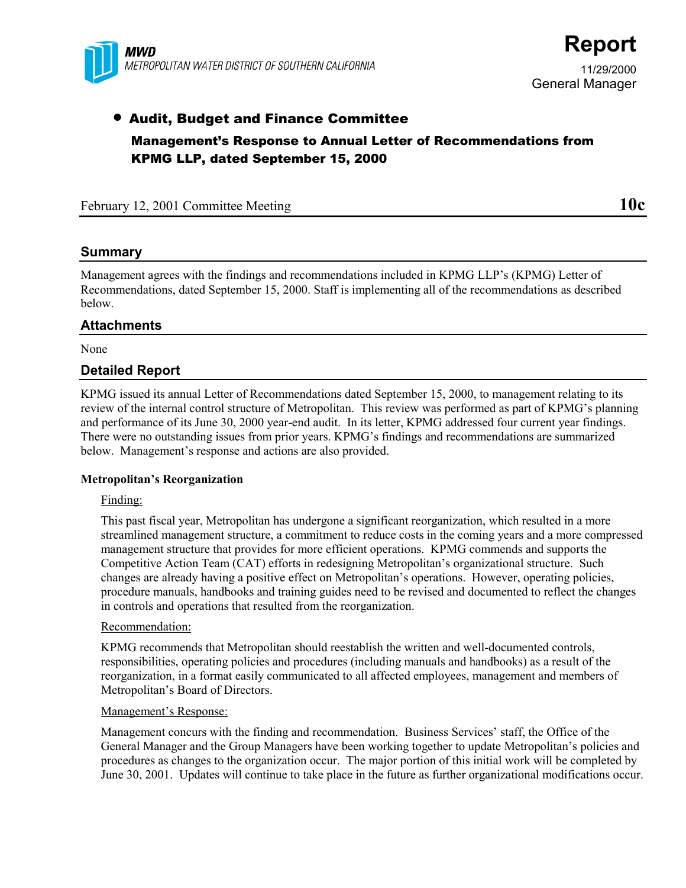

11/29/2000 General Manager

# • Audit, Budget and Finance Committee Management's Response to Annual Letter of Recommendations from KPMG LLP, dated September 15, 2000

## February 12, 2001 Committee Meeting **10c**

## **Summary**

Management agrees with the findings and recommendations included in KPMG LLP's (KPMG) Letter of Recommendations, dated September 15, 2000. Staff is implementing all of the recommendations as described below.

## **Attachments**

None

## **Detailed Report**

KPMG issued its annual Letter of Recommendations dated September 15, 2000, to management relating to its review of the internal control structure of Metropolitan. This review was performed as part of KPMG's planning and performance of its June 30, 2000 year-end audit. In its letter, KPMG addressed four current year findings. There were no outstanding issues from prior years. KPMG's findings and recommendations are summarized below. Management's response and actions are also provided.

## **Metropolitan's Reorganization**

## Finding:

This past fiscal year, Metropolitan has undergone a significant reorganization, which resulted in a more streamlined management structure, a commitment to reduce costs in the coming years and a more compressed management structure that provides for more efficient operations. KPMG commends and supports the Competitive Action Team (CAT) efforts in redesigning Metropolitan's organizational structure. Such changes are already having a positive effect on Metropolitan's operations. However, operating policies, procedure manuals, handbooks and training guides need to be revised and documented to reflect the changes in controls and operations that resulted from the reorganization.

## Recommendation:

KPMG recommends that Metropolitan should reestablish the written and well-documented controls, responsibilities, operating policies and procedures (including manuals and handbooks) as a result of the reorganization, in a format easily communicated to all affected employees, management and members of Metropolitan's Board of Directors.

## Management's Response:

Management concurs with the finding and recommendation. Business Services' staff, the Office of the General Manager and the Group Managers have been working together to update Metropolitan's policies and procedures as changes to the organization occur. The major portion of this initial work will be completed by June 30, 2001. Updates will continue to take place in the future as further organizational modifications occur.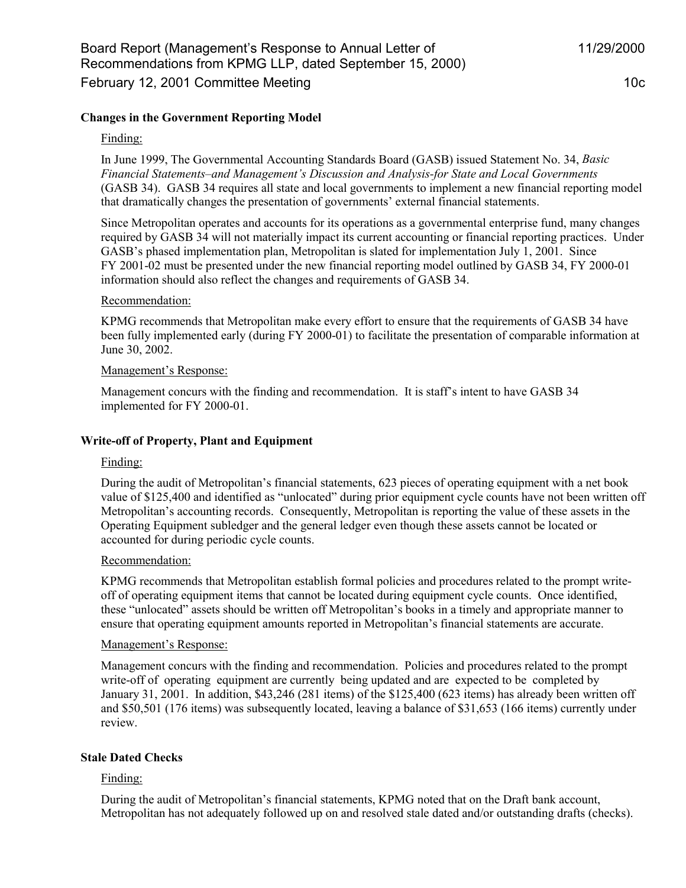### Finding:

In June 1999, The Governmental Accounting Standards Board (GASB) issued Statement No. 34, *Basic Financial Statements–and Management's Discussion and Analysis-for State and Local Governments* (GASB 34). GASB 34 requires all state and local governments to implement a new financial reporting model that dramatically changes the presentation of governments' external financial statements.

Since Metropolitan operates and accounts for its operations as a governmental enterprise fund, many changes required by GASB 34 will not materially impact its current accounting or financial reporting practices. Under GASB's phased implementation plan, Metropolitan is slated for implementation July 1, 2001. Since FY 2001-02 must be presented under the new financial reporting model outlined by GASB 34, FY 2000-01 information should also reflect the changes and requirements of GASB 34.

### Recommendation:

KPMG recommends that Metropolitan make every effort to ensure that the requirements of GASB 34 have been fully implemented early (during FY 2000-01) to facilitate the presentation of comparable information at June 30, 2002.

### Management's Response:

Management concurs with the finding and recommendation. It is staff's intent to have GASB 34 implemented for FY 2000-01.

## **Write-off of Property, Plant and Equipment**

## Finding:

During the audit of Metropolitan's financial statements, 623 pieces of operating equipment with a net book value of \$125,400 and identified as "unlocated" during prior equipment cycle counts have not been written off Metropolitan's accounting records. Consequently, Metropolitan is reporting the value of these assets in the Operating Equipment subledger and the general ledger even though these assets cannot be located or accounted for during periodic cycle counts.

## Recommendation:

KPMG recommends that Metropolitan establish formal policies and procedures related to the prompt writeoff of operating equipment items that cannot be located during equipment cycle counts. Once identified, these "unlocated" assets should be written off Metropolitan's books in a timely and appropriate manner to ensure that operating equipment amounts reported in Metropolitan's financial statements are accurate.

## Management's Response:

Management concurs with the finding and recommendation. Policies and procedures related to the prompt write-off of operating equipment are currently being updated and are expected to be completed by January 31, 2001. In addition, \$43,246 (281 items) of the \$125,400 (623 items) has already been written off and \$50,501 (176 items) was subsequently located, leaving a balance of \$31,653 (166 items) currently under review.

## **Stale Dated Checks**

## Finding:

During the audit of Metropolitan's financial statements, KPMG noted that on the Draft bank account, Metropolitan has not adequately followed up on and resolved stale dated and/or outstanding drafts (checks).